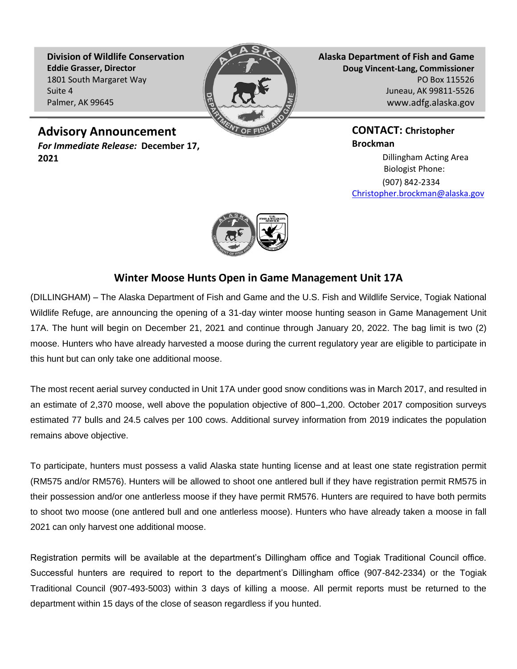**Division of Wildlife Conservation Eddie Grasser, Director** 1801 South Margaret Way Suite 4 Palmer, AK 99645



**Alaska Department of Fish and Game Doug Vincent-Lang, Commissioner** PO Box 115526 Juneau, AK 99811-5526 [www.adfg.alaska.gov](http://www.adfg.alaska.gov/)

## **Advisory Announcement**

*For Immediate Release:* **December 17, 2021**

**CONTACT: Christopher Brockman**

Dillingham Acting Area Biologist Phone: (907) 842-2334 Christopher.brockman@alaska.gov



## **Winter Moose Hunts Open in Game Management Unit 17A**

(DILLINGHAM) – The Alaska Department of Fish and Game and the U.S. Fish and Wildlife Service, Togiak National Wildlife Refuge, are announcing the opening of a 31-day winter moose hunting season in Game Management Unit 17A. The hunt will begin on December 21, 2021 and continue through January 20, 2022. The bag limit is two (2) moose. Hunters who have already harvested a moose during the current regulatory year are eligible to participate in this hunt but can only take one additional moose.

The most recent aerial survey conducted in Unit 17A under good snow conditions was in March 2017, and resulted in an estimate of 2,370 moose, well above the population objective of 800–1,200. October 2017 composition surveys estimated 77 bulls and 24.5 calves per 100 cows. Additional survey information from 2019 indicates the population remains above objective.

To participate, hunters must possess a valid Alaska state hunting license and at least one state registration permit (RM575 and/or RM576). Hunters will be allowed to shoot one antlered bull if they have registration permit RM575 in their possession and/or one antlerless moose if they have permit RM576. Hunters are required to have both permits to shoot two moose (one antlered bull and one antlerless moose). Hunters who have already taken a moose in fall 2021 can only harvest one additional moose.

Registration permits will be available at the department's Dillingham office and Togiak Traditional Council office. Successful hunters are required to report to the department's Dillingham office (907-842-2334) or the Togiak Traditional Council (907-493-5003) within 3 days of killing a moose. All permit reports must be returned to the department within 15 days of the close of season regardless if you hunted.